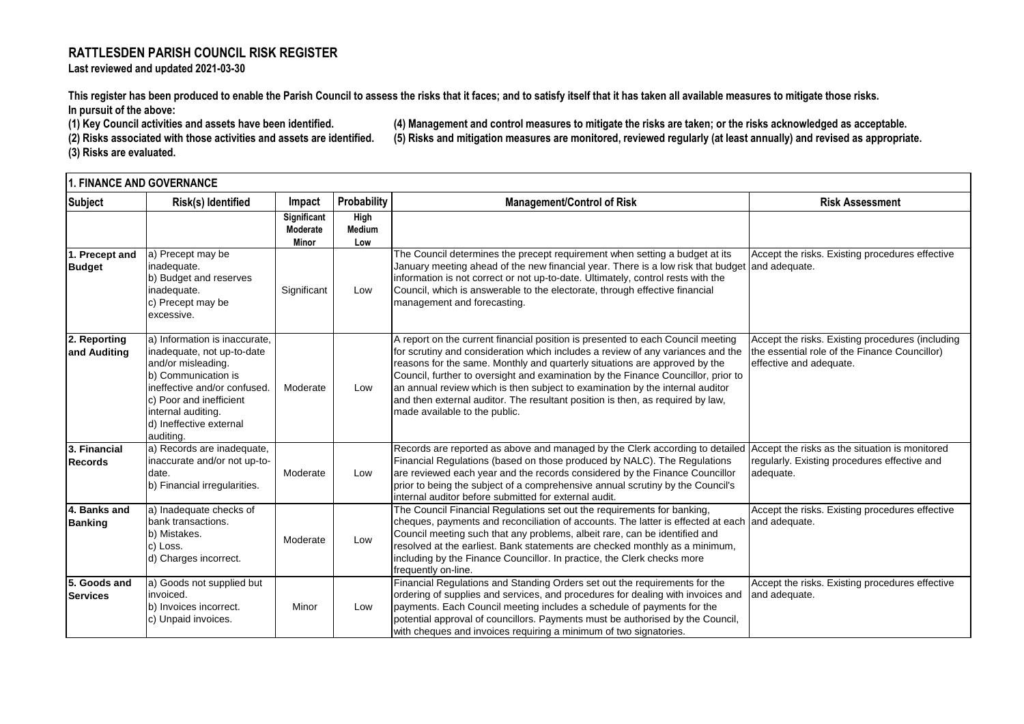## **RATTLESDEN PARISH COUNCIL RISK REGISTER**

**Last reviewed and updated 2021-03-30**

**This register has been produced to enable the Parish Council to assess the risks that it faces; and to satisfy itself that it has taken all available measures to mitigate those risks. In pursuit of the above:** 

**(3) Risks are evaluated.**

**(1) Key Council activities and assets have been identified. (4) Management and control measures to mitigate the risks are taken; or the risks acknowledged as acceptable. (2) Risks associated with those activities and assets are identified. (5) Risks and mitigation measures are monitored, reviewed regularly (at least annually) and revised as appropriate.**

| l1. FINANCE AND GOVERNANCE      |                                                                                                                                                                                                                                   |                                         |                              |                                                                                                                                                                                                                                                                                                                                                                                                                                                                                                                                           |                                                                                                                              |  |
|---------------------------------|-----------------------------------------------------------------------------------------------------------------------------------------------------------------------------------------------------------------------------------|-----------------------------------------|------------------------------|-------------------------------------------------------------------------------------------------------------------------------------------------------------------------------------------------------------------------------------------------------------------------------------------------------------------------------------------------------------------------------------------------------------------------------------------------------------------------------------------------------------------------------------------|------------------------------------------------------------------------------------------------------------------------------|--|
| <b>Subject</b>                  | Risk(s) Identified                                                                                                                                                                                                                | Impact                                  | Probability                  | <b>Management/Control of Risk</b>                                                                                                                                                                                                                                                                                                                                                                                                                                                                                                         | <b>Risk Assessment</b>                                                                                                       |  |
|                                 |                                                                                                                                                                                                                                   | <b>Significant</b><br>Moderate<br>Minor | High<br><b>Medium</b><br>Low |                                                                                                                                                                                                                                                                                                                                                                                                                                                                                                                                           |                                                                                                                              |  |
| 1. Precept and<br><b>Budget</b> | a) Precept may be<br>inadequate.<br>b) Budget and reserves<br>inadequate.<br>c) Precept may be<br>excessive.                                                                                                                      | Significant                             | Low                          | The Council determines the precept requirement when setting a budget at its<br>January meeting ahead of the new financial year. There is a low risk that budget<br>information is not correct or not up-to-date. Ultimately, control rests with the<br>Council, which is answerable to the electorate, through effective financial<br>management and forecasting.                                                                                                                                                                         | Accept the risks. Existing procedures effective<br>and adequate.                                                             |  |
| 2. Reporting<br>and Auditing    | a) Information is inaccurate,<br>inadequate, not up-to-date<br>and/or misleading.<br>b) Communication is<br>ineffective and/or confused.<br>c) Poor and inefficient<br>internal auditing.<br>d) Ineffective external<br>auditing. | Moderate                                | Low                          | A report on the current financial position is presented to each Council meeting<br>for scrutiny and consideration which includes a review of any variances and the<br>reasons for the same. Monthly and quarterly situations are approved by the<br>Council, further to oversight and examination by the Finance Councillor, prior to<br>an annual review which is then subject to examination by the internal auditor<br>and then external auditor. The resultant position is then, as required by law,<br>made available to the public. | Accept the risks. Existing procedures (including<br>the essential role of the Finance Councillor)<br>effective and adequate. |  |
| 3. Financial<br><b>Records</b>  | a) Records are inadequate,<br>inaccurate and/or not up-to-<br>date.<br>b) Financial irregularities.                                                                                                                               | Moderate                                | Low                          | Records are reported as above and managed by the Clerk according to detailed<br>Financial Regulations (based on those produced by NALC). The Regulations<br>are reviewed each year and the records considered by the Finance Councillor<br>prior to being the subject of a comprehensive annual scrutiny by the Council's<br>internal auditor before submitted for external audit.                                                                                                                                                        | Accept the risks as the situation is monitored<br>regularly. Existing procedures effective and<br>adequate.                  |  |
| 4. Banks and<br><b>Banking</b>  | a) Inadequate checks of<br>bank transactions.<br>b) Mistakes.<br>c) Loss.<br>d) Charges incorrect.                                                                                                                                | Moderate                                | Low                          | The Council Financial Regulations set out the requirements for banking,<br>cheques, payments and reconciliation of accounts. The latter is effected at each<br>Council meeting such that any problems, albeit rare, can be identified and<br>resolved at the earliest. Bank statements are checked monthly as a minimum,<br>including by the Finance Councillor. In practice, the Clerk checks more<br>frequently on-line.                                                                                                                | Accept the risks. Existing procedures effective<br>and adequate.                                                             |  |
| 5. Goods and<br>Services        | a) Goods not supplied but<br>invoiced.<br>b) Invoices incorrect.<br>c) Unpaid invoices.                                                                                                                                           | Minor                                   | Low                          | Financial Regulations and Standing Orders set out the requirements for the<br>ordering of supplies and services, and procedures for dealing with invoices and<br>payments. Each Council meeting includes a schedule of payments for the<br>potential approval of councillors. Payments must be authorised by the Council,<br>with cheques and invoices requiring a minimum of two signatories.                                                                                                                                            | Accept the risks. Existing procedures effective<br>and adequate.                                                             |  |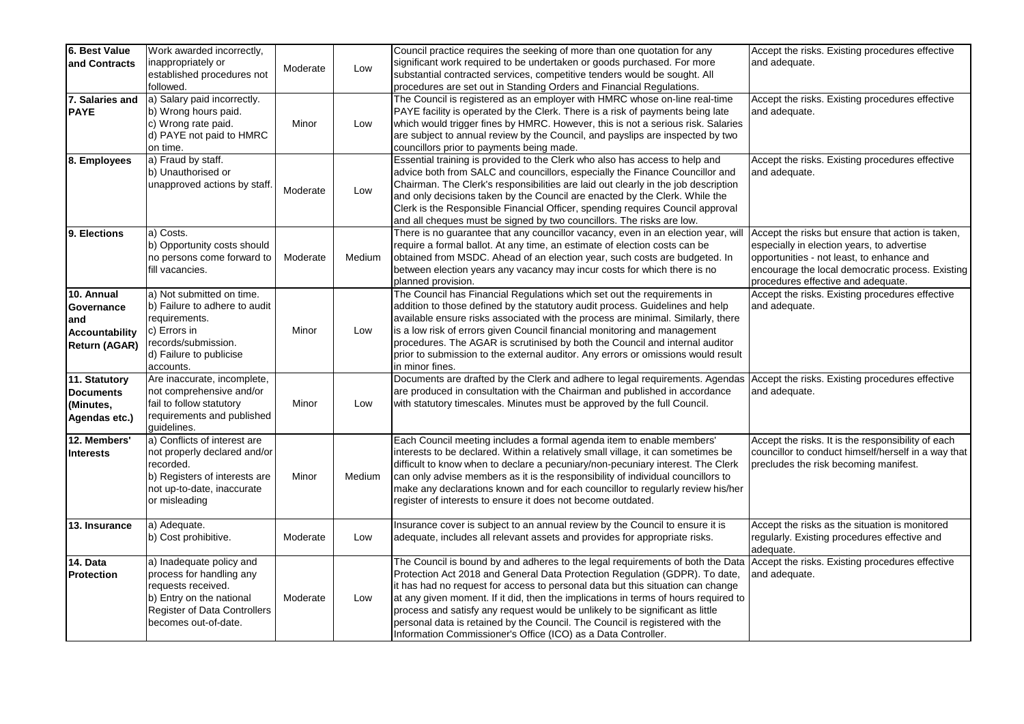| 6. Best Value         | Work awarded incorrectly,           |          |        | Council practice requires the seeking of more than one quotation for any            | Accept the risks. Existing procedures effective     |
|-----------------------|-------------------------------------|----------|--------|-------------------------------------------------------------------------------------|-----------------------------------------------------|
| and Contracts         | inappropriately or                  |          |        | significant work required to be undertaken or goods purchased. For more             | and adequate.                                       |
|                       | established procedures not          | Moderate | Low    | substantial contracted services, competitive tenders would be sought. All           |                                                     |
|                       | followed.                           |          |        | procedures are set out in Standing Orders and Financial Regulations.                |                                                     |
| 7. Salaries and       | a) Salary paid incorrectly.         |          |        | The Council is registered as an employer with HMRC whose on-line real-time          | Accept the risks. Existing procedures effective     |
| <b>PAYE</b>           | b) Wrong hours paid.                |          |        | PAYE facility is operated by the Clerk. There is a risk of payments being late      | and adequate.                                       |
|                       | c) Wrong rate paid.                 | Minor    | Low    | which would trigger fines by HMRC. However, this is not a serious risk. Salaries    |                                                     |
|                       | d) PAYE not paid to HMRC            |          |        | are subject to annual review by the Council, and payslips are inspected by two      |                                                     |
|                       | on time.                            |          |        | councillors prior to payments being made.                                           |                                                     |
| 8. Employees          | a) Fraud by staff.                  |          |        | Essential training is provided to the Clerk who also has access to help and         | Accept the risks. Existing procedures effective     |
|                       | b) Unauthorised or                  |          |        | advice both from SALC and councillors, especially the Finance Councillor and        | and adequate.                                       |
|                       | unapproved actions by staff         |          |        | Chairman. The Clerk's responsibilities are laid out clearly in the job description  |                                                     |
|                       |                                     | Moderate | Low    | and only decisions taken by the Council are enacted by the Clerk. While the         |                                                     |
|                       |                                     |          |        | Clerk is the Responsible Financial Officer, spending requires Council approval      |                                                     |
|                       |                                     |          |        | and all cheques must be signed by two councillors. The risks are low.               |                                                     |
| 9. Elections          | a) Costs.                           |          |        | There is no guarantee that any councillor vacancy, even in an election year, will   | Accept the risks but ensure that action is taken,   |
|                       | b) Opportunity costs should         |          |        | require a formal ballot. At any time, an estimate of election costs can be          | especially in election years, to advertise          |
|                       | no persons come forward to          | Moderate | Medium | obtained from MSDC. Ahead of an election year, such costs are budgeted. In          | opportunities - not least, to enhance and           |
|                       | fill vacancies.                     |          |        | between election years any vacancy may incur costs for which there is no            | encourage the local democratic process. Existing    |
|                       |                                     |          |        | planned provision.                                                                  | procedures effective and adequate.                  |
| 10. Annual            | a) Not submitted on time.           |          |        | The Council has Financial Regulations which set out the requirements in             | Accept the risks. Existing procedures effective     |
| Governance            | b) Failure to adhere to audit       |          |        | addition to those defined by the statutory audit process. Guidelines and help       | and adequate.                                       |
| and                   | requirements.                       |          |        | available ensure risks associated with the process are minimal. Similarly, there    |                                                     |
| <b>Accountability</b> | c) Errors in                        | Minor    | Low    | is a low risk of errors given Council financial monitoring and management           |                                                     |
| <b>Return (AGAR)</b>  | records/submission.                 |          |        | procedures. The AGAR is scrutinised by both the Council and internal auditor        |                                                     |
|                       | d) Failure to publicise             |          |        | prior to submission to the external auditor. Any errors or omissions would result   |                                                     |
|                       | accounts.                           |          |        | in minor fines.                                                                     |                                                     |
| 11. Statutory         | Are inaccurate, incomplete,         |          |        | Documents are drafted by the Clerk and adhere to legal requirements. Agendas        | Accept the risks. Existing procedures effective     |
| <b>Documents</b>      | not comprehensive and/or            |          |        | are produced in consultation with the Chairman and published in accordance          | and adequate.                                       |
| (Minutes,             | fail to follow statutory            | Minor    | Low    | with statutory timescales. Minutes must be approved by the full Council.            |                                                     |
| Agendas etc.)         | requirements and published          |          |        |                                                                                     |                                                     |
|                       | guidelines.                         |          |        |                                                                                     |                                                     |
| 12. Members'          | a) Conflicts of interest are        |          |        | Each Council meeting includes a formal agenda item to enable members'               | Accept the risks. It is the responsibility of each  |
| <b>Interests</b>      | not properly declared and/or        |          |        | interests to be declared. Within a relatively small village, it can sometimes be    | councillor to conduct himself/herself in a way that |
|                       | recorded.                           |          |        | difficult to know when to declare a pecuniary/non-pecuniary interest. The Clerk     | precludes the risk becoming manifest.               |
|                       | b) Registers of interests are       | Minor    | Medium | can only advise members as it is the responsibility of individual councillors to    |                                                     |
|                       | not up-to-date, inaccurate          |          |        | make any declarations known and for each councillor to regularly review his/her     |                                                     |
|                       | or misleading                       |          |        | register of interests to ensure it does not become outdated.                        |                                                     |
| 13. Insurance         | a) Adequate.                        |          |        | Insurance cover is subject to an annual review by the Council to ensure it is       | Accept the risks as the situation is monitored      |
|                       | b) Cost prohibitive.                | Moderate | Low    | adequate, includes all relevant assets and provides for appropriate risks.          | regularly. Existing procedures effective and        |
|                       |                                     |          |        |                                                                                     | adequate.                                           |
| 14. Data              | a) Inadequate policy and            |          |        | The Council is bound by and adheres to the legal requirements of both the Data      | Accept the risks. Existing procedures effective     |
| Protection            | process for handling any            |          |        | Protection Act 2018 and General Data Protection Regulation (GDPR). To date,         | and adequate.                                       |
|                       | requests received.                  |          |        | it has had no request for access to personal data but this situation can change     |                                                     |
|                       | b) Entry on the national            | Moderate | Low    | at any given moment. If it did, then the implications in terms of hours required to |                                                     |
|                       | <b>Register of Data Controllers</b> |          |        | process and satisfy any request would be unlikely to be significant as little       |                                                     |
|                       | becomes out-of-date.                |          |        | personal data is retained by the Council. The Council is registered with the        |                                                     |
|                       |                                     |          |        | Information Commissioner's Office (ICO) as a Data Controller.                       |                                                     |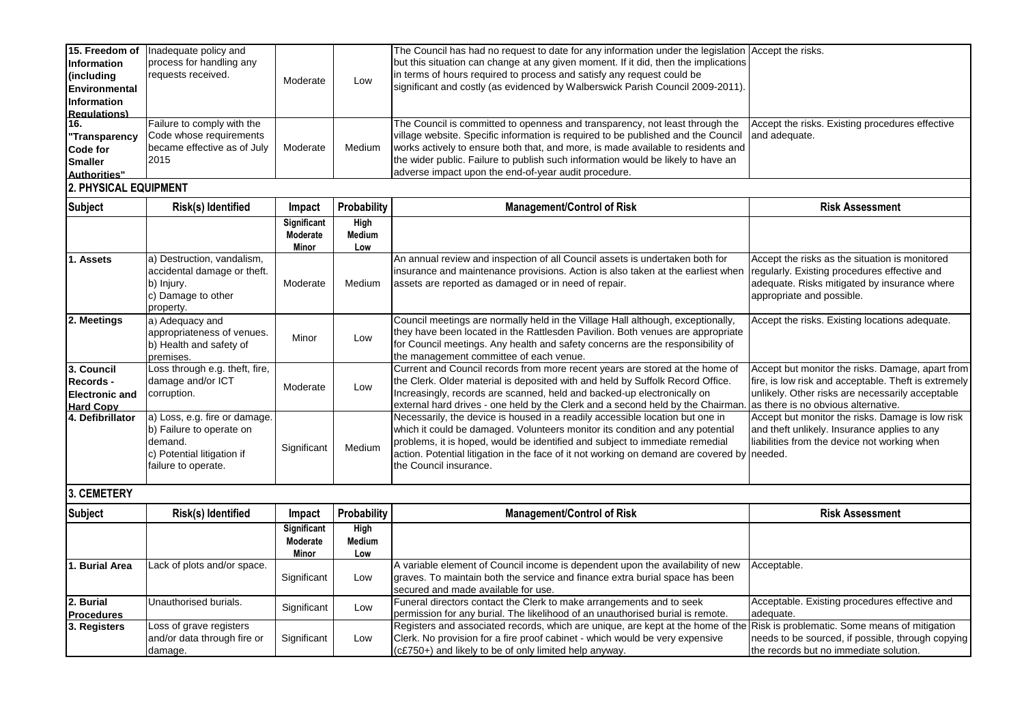| 15. Freedom of<br><b>Information</b><br>(including<br>Environmental<br><b>Information</b><br><b>Requlations)</b> | Inadequate policy and<br>process for handling any<br>requests received.                                    | Moderate                         | Low                   | The Council has had no request to date for any information under the legislation Accept the risks.<br>but this situation can change at any given moment. If it did, then the implications<br>in terms of hours required to process and satisfy any request could be<br>significant and costly (as evidenced by Walberswick Parish Council 2009-2011).                                             |                                                                                                                                                                             |  |  |
|------------------------------------------------------------------------------------------------------------------|------------------------------------------------------------------------------------------------------------|----------------------------------|-----------------------|---------------------------------------------------------------------------------------------------------------------------------------------------------------------------------------------------------------------------------------------------------------------------------------------------------------------------------------------------------------------------------------------------|-----------------------------------------------------------------------------------------------------------------------------------------------------------------------------|--|--|
| 16.<br>'Transparency<br>Code for<br><b>Smaller</b><br>Authorities"                                               | Failure to comply with the<br>Code whose requirements<br>became effective as of July<br>2015               | Moderate                         | Medium                | The Council is committed to openness and transparency, not least through the<br>village website. Specific information is required to be published and the Council<br>works actively to ensure both that, and more, is made available to residents and<br>the wider public. Failure to publish such information would be likely to have an<br>adverse impact upon the end-of-year audit procedure. | Accept the risks. Existing procedures effective<br>and adequate.                                                                                                            |  |  |
| <b>2. PHYSICAL EQUIPMENT</b>                                                                                     |                                                                                                            |                                  |                       |                                                                                                                                                                                                                                                                                                                                                                                                   |                                                                                                                                                                             |  |  |
| <b>Subject</b>                                                                                                   |                                                                                                            |                                  |                       |                                                                                                                                                                                                                                                                                                                                                                                                   |                                                                                                                                                                             |  |  |
|                                                                                                                  | Risk(s) Identified                                                                                         | Impact                           | Probability           | <b>Management/Control of Risk</b>                                                                                                                                                                                                                                                                                                                                                                 | <b>Risk Assessment</b>                                                                                                                                                      |  |  |
|                                                                                                                  |                                                                                                            | Significant<br>Moderate<br>Minor | High<br>Medium<br>Low |                                                                                                                                                                                                                                                                                                                                                                                                   |                                                                                                                                                                             |  |  |
| . Assets                                                                                                         | a) Destruction, vandalism,<br>accidental damage or theft.<br>b) Injury.<br>c) Damage to other<br>property. | Moderate                         | Medium                | An annual review and inspection of all Council assets is undertaken both for<br>insurance and maintenance provisions. Action is also taken at the earliest when<br>assets are reported as damaged or in need of repair.                                                                                                                                                                           | Accept the risks as the situation is monitored<br>regularly. Existing procedures effective and<br>adequate. Risks mitigated by insurance where<br>appropriate and possible. |  |  |

the management committee of each venue.

the Council insurance.

for Council meetings. Any health and safety concerns are the responsibility of

Current and Council records from more recent years are stored at the home of the Clerk. Older material is deposited with and held by Suffolk Record Office. Increasingly, records are scanned, held and backed-up electronically on external hard drives - one held by the Clerk and a second held by the Chairman

Necessarily, the device is housed in a readily accessible location but one in which it could be damaged. Volunteers monitor its condition and any potential problems, it is hoped, would be identified and subject to immediate remedial

action. Potential litigation in the face of it not working on demand are covered by needed.

Accept but monitor the risks. Damage, apart from fire, is low risk and acceptable. Theft is extremely unlikely. Other risks are necessarily acceptable

Accept but monitor the risks. Damage is low risk and theft unlikely. Insurance applies to any liabilities from the device not working when

as there is no obvious alternative.

**3. CEMETERY**

**3. Council Records - Electronic and Hard Copy**

b) Health and safety of

Loss through e.g. theft, fire, damage and/or ICT

**a**) Loss, e.g. fire or damage. b) Failure to operate on

c) Potential litigation if failure to operate.

quamage and/or ic internal corruption.<br>Corruption.

Minor Low

Significant Medium

premises.

demand.

| Subject                        | Risk(s) Identified                                                | Impact                           | Probability           | <b>Management/Control of Risk</b>                                                                                                                                                                                                                                       | <b>Risk Assessment</b>                                                                      |
|--------------------------------|-------------------------------------------------------------------|----------------------------------|-----------------------|-------------------------------------------------------------------------------------------------------------------------------------------------------------------------------------------------------------------------------------------------------------------------|---------------------------------------------------------------------------------------------|
|                                |                                                                   | Significant<br>Moderate<br>Minor | High<br>Medium<br>Low |                                                                                                                                                                                                                                                                         |                                                                                             |
| <b>Burial Area</b>             | Lack of plots and/or space.                                       | Significant                      | Low                   | A variable element of Council income is dependent upon the availability of new<br>graves. To maintain both the service and finance extra burial space has been<br>secured and made available for use.                                                                   | Acceptable.                                                                                 |
| 2. Burial<br><b>Procedures</b> | Unauthorised burials.                                             | Significant                      | Low                   | Funeral directors contact the Clerk to make arrangements and to seek<br>permission for any burial. The likelihood of an unauthorised burial is remote.                                                                                                                  | Acceptable. Existing procedures effective and<br>adequate.                                  |
| 3. Registers                   | Loss of grave registers<br>and/or data through fire or<br>damage. | Significant                      | Low                   | Registers and associated records, which are unique, are kept at the home of the Risk is problematic. Some means of mitigation<br>Clerk. No provision for a fire proof cabinet - which would be very expensive<br>(c£750+) and likely to be of only limited help anyway. | needs to be sourced, if possible, through copying<br>the records but no immediate solution. |